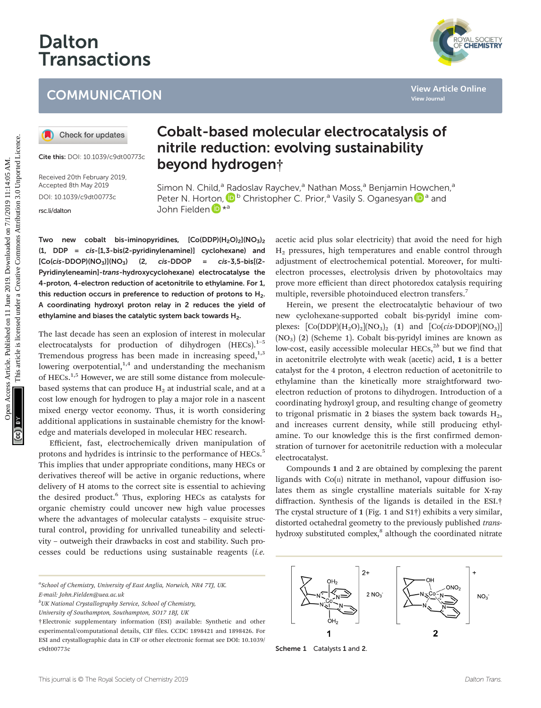# Dalton Transactions

# **COMMUNICATION**

Cite this: DOI: 10.1039/c9dt00773c

Received 20th February 2019, Accepted 8th May 2019 DOI: 10.1039/c9dt00773c [rsc.li/dalton](www.rsc.li/dalton)

## Cobalt-based molecular electrocatalysis of nitrile reduction: evolving sustainability beyond hydrogen†

Simon N. Child,<sup>a</sup> [Ra](http://orcid.org/0000-0001-8886-2016)doslav Raychev,<sup>a</sup> Nathan Moss,<sup>a</sup> Benjamin [How](http://orcid.org/0000-0002-8738-1146)chen,<sup>a</sup> Peter N. Hort[on](http://orcid.org/0000-0001-5963-7792),  $\mathbf{D}^{\mathsf{b}}$  Christopher C. Prior,<sup>a</sup> Vasily S. Oganesyan  $\mathbf{D}^{\mathsf{a}}$  and John Fielden D \*a

Two new cobalt bis-iminopyridines,  $[Co(DDP)(H_2O)_2](NO_3)$ (1, DDP = cis-[1,3-bis(2-pyridinylenamine)] cyclohexane) and  $[Co(cis-DDOP)(NO<sub>3</sub>)](NO<sub>3</sub>)$  (2, cis-DDOP = cis-3,5-bis[(2-Pyridinyleneamin]-trans-hydroxycyclohexane) electrocatalyse the 4-proton, 4-electron reduction of acetonitrile to ethylamine. For 1, this reduction occurs in preference to reduction of protons to  $H_2$ . A coordinating hydroxyl proton relay in 2 reduces the yield of ethylamine and biases the catalytic system back towards  $H_2$ .

The last decade has seen an explosion of interest in molecular electrocatalysts for production of dihydrogen  $(HECs).<sup>1-5</sup>$ Tremendous progress has been made in increasing speed, $1,3$ lowering overpotential, $1,4$  and understanding the mechanism of HECs.<sup>1,5</sup> However, we are still some distance from moleculebased systems that can produce  $H_2$  at industrial scale, and at a cost low enough for hydrogen to play a major role in a nascent mixed energy vector economy. Thus, it is worth considering additional applications in sustainable chemistry for the knowledge and materials developed in molecular HEC research.

Efficient, fast, electrochemically driven manipulation of protons and hydrides is intrinsic to the performance of HECs.<sup>5</sup> This implies that under appropriate conditions, many HECs or derivatives thereof will be active in organic reductions, where delivery of H atoms to the correct site is essential to achieving the desired product.<sup>6</sup> Thus, exploring HECs as catalysts for organic chemistry could uncover new high value processes where the advantages of molecular catalysts – exquisite structural control, providing for unrivalled tuneability and selectivity – outweigh their drawbacks in cost and stability. Such processes could be reductions using sustainable reagents (i.e.

<sup>a</sup>School of Chemistry, University of East Anglia, Norwich, NR4 7TJ, UK. E-mail: John.Fielden@uea.ac.uk

b UK National Crystallography Service, School of Chemistry,

University of Southampton, Southampton, SO17 1BJ, UK

acetic acid plus solar electricity) that avoid the need for high H2 pressures, high temperatures and enable control through adjustment of electrochemical potential. Moreover, for multielectron processes, electrolysis driven by photovoltaics may prove more efficient than direct photoredox catalysis requiring multiple, reversible photoinduced electron transfers.<sup>7</sup>

Herein, we present the electrocatalytic behaviour of two new cyclohexane-supported cobalt bis-pyridyl imine complexes:  $[Co(DDP)(H<sub>2</sub>O)<sub>2</sub>](NO<sub>3</sub>)<sub>2</sub> (1)$  and  $[Co(cis-DDOP)(NO<sub>3</sub>)]$  $(NO<sub>3</sub>)$  (2) (Scheme 1). Cobalt bis-pyridyl imines are known as low-cost, easily accessible molecular HECs, $2b$  but we find that in acetonitrile electrolyte with weak (acetic) acid, 1 is a better catalyst for the 4 proton, 4 electron reduction of acetonitrile to ethylamine than the kinetically more straightforward twoelectron reduction of protons to dihydrogen. Introduction of a coordinating hydroxyl group, and resulting change of geometry to trigonal prismatic in 2 biases the system back towards  $H_2$ , and increases current density, while still producing ethylamine. To our knowledge this is the first confirmed demonstration of turnover for acetonitrile reduction with a molecular electrocatalyst. COMMUNICATION<br>
Checkforupdates<br>
Content Access Article **Content Access Article Content Access Article Content Access Article is limited to the content Access Article is limited to the content Access Article is limited to t** 

> Compounds 1 and 2 are obtained by complexing the parent ligands with  $Co(n)$  nitrate in methanol, vapour diffusion isolates them as single crystalline materials suitable for X-ray diffraction. Synthesis of the ligands is detailed in the ESI.† The crystal structure of 1 (Fig. 1 and S1†) exhibits a very similar, distorted octahedral geometry to the previously published transhydroxy substituted complex,<sup>8</sup> although the coordinated nitrate







<sup>†</sup>Electronic supplementary information (ESI) available: Synthetic and other experimental/computational details, CIF files. CCDC 1898421 and 1898426. For ESI and crystallographic data in CIF or other electronic format see DOI: 10.1039/ c9dt00773c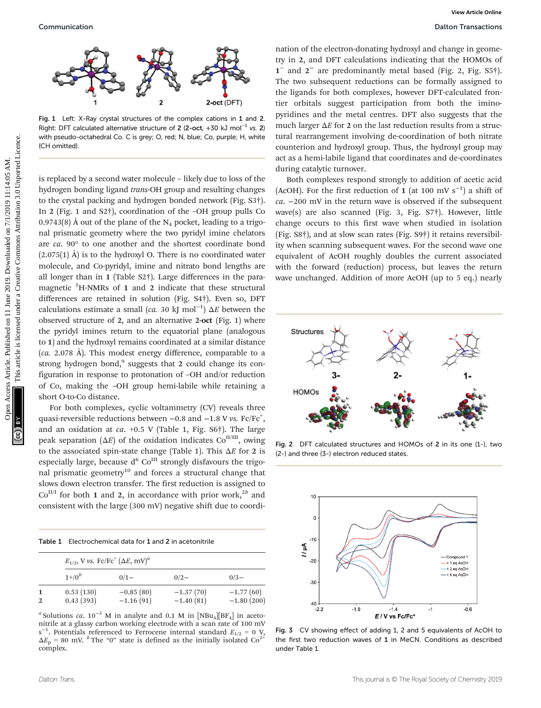

Fig. 1 Left: X-Ray crystal structures of the complex cations in 1 and 2. Right: DFT calculated alternative structure of 2 (2-oct, +30 kJ mol<sup>-1</sup> vs. 2) with pseudo-octahedral Co. C is grey; O, red; N, blue; Co, purple; H, white (CH omitted).

is replaced by a second water molecule – likely due to loss of the hydrogen bonding ligand trans-OH group and resulting changes to the crystal packing and hydrogen bonded network (Fig. S3†). In 2 (Fig. 1 and S2†), coordination of the –OH group pulls Co 0.9743(8) Å out of the plane of the  $N_4$  pocket, leading to a trigonal prismatic geometry where the two pyridyl imine chelators are ca. 90° to one another and the shortest coordinate bond  $(2.075(1)$  Å) is to the hydroxyl O. There is no coordinated water molecule, and Co-pyridyl, imine and nitrato bond lengths are all longer than in 1 (Table S2†). Large differences in the paramagnetic <sup>1</sup>H-NMRs of 1 and 2 indicate that these structural differences are retained in solution (Fig. S4†). Even so, DFT calculations estimate a small (*ca.* 30 kJ mol<sup>-1</sup>)  $\Delta E$  between the observed structure of 2, and an alternative 2-oct (Fig. 1) where the pyridyl imines return to the equatorial plane (analogous to 1) and the hydroxyl remains coordinated at a similar distance (ca. 2.078 Å). This modest energy difference, comparable to a strong hydrogen bond, $9$  suggests that 2 could change its configuration in response to protonation of –OH and/or reduction of Co, making the –OH group hemi-labile while retaining a short O-to-Co distance. Communication<br>
Communication The access Article is and The Tract article is the second various controlled article. The second various commons are component to the second various Creative Commons Article is like the second

For both complexes, cyclic voltammetry (CV) reveals three quasi-reversible reductions between  $-0.8$  and  $-1.8$  V vs. Fc/Fc<sup>+</sup>, and an oxidation at  $ca. +0.5$  V (Table 1, Fig. S6†). The large peak separation ( $\Delta E$ ) of the oxidation indicates Co<sup>II/III</sup>, owing to the associated spin-state change (Table 1). This  $\Delta E$  for 2 is especially large, because  $d^6$  Co<sup>III</sup> strongly disfavours the trigonal prismatic geometry $10$  and forces a structural change that slows down electron transfer. The first reduction is assigned to  $Co<sup>II/I</sup>$  for both 1 and 2, in accordance with prior work,<sup>2b</sup> and consistent with the large (300 mV) negative shift due to coordi-

Table 1 Electrochemical data for 1 and 2 in acetonitrile

|                | $E_{1/2}$ , V vs. Fc/Fc <sup>+</sup> ( $\Delta E$ , mV) <sup>a</sup> |                            |                            |                             |  |  |  |
|----------------|----------------------------------------------------------------------|----------------------------|----------------------------|-----------------------------|--|--|--|
|                | $1^{+/0^b}$                                                          | $0/1 -$                    | $0/2-$                     | $0/3-$                      |  |  |  |
| $\overline{2}$ | 0.53(130)<br>0.43(393)                                               | $-0.85(80)$<br>$-1.16(91)$ | $-1.37(70)$<br>$-1.40(81)$ | $-1.77(60)$<br>$-1.80(200)$ |  |  |  |

<sup>a</sup> Solutions ca. 10<sup>-3</sup> M in analyte and 0.1 M in [NBu<sub>4</sub>][BF<sub>4</sub>] in acetonitrile at a glassy carbon working electrode with a scan rate of 100 mV s<sup>-1</sup>. Potentials referenced to Ferrocene internal standard  $E_{1/2} = 0$  V,  $\Delta E_p$  = 80 mV. <sup>b</sup> The "0" state is defined as the initially isolated Co<sup>2+</sup> complex.

nation of the electron-donating hydroxyl and change in geometry in 2, and DFT calculations indicating that the HOMOs of 1<sup>−</sup> and 2<sup>−</sup> are predominantly metal based (Fig. 2, Fig. S5†). The two subsequent reductions can be formally assigned to the ligands for both complexes, however DFT-calculated frontier orbitals suggest participation from both the iminopyridines and the metal centres. DFT also suggests that the much larger  $\Delta E$  for 2 on the last reduction results from a structural rearrangement involving de-coordination of both nitrate counterion and hydroxyl group. Thus, the hydroxyl group may act as a hemi-labile ligand that coordinates and de-coordinates during catalytic turnover.

Both complexes respond strongly to addition of acetic acid (AcOH). For the first reduction of 1 (at 100 mV s<sup>-1</sup>) a shift of ca. −200 mV in the return wave is observed if the subsequent wave(s) are also scanned (Fig. 3, Fig. S7†). However, little change occurs to this first wave when studied in isolation (Fig. S8†), and at slow scan rates (Fig. S9†) it retains reversibility when scanning subsequent waves. For the second wave one equivalent of AcOH roughly doubles the current associated with the forward (reduction) process, but leaves the return wave unchanged. Addition of more AcOH (up to 5 eq.) nearly



Fig. 2 DFT calculated structures and HOMOs of 2 in its one (1-), two (2-) and three (3-) electron reduced states.



Fig. 3 CV showing effect of adding 1, 2 and 5 equivalents of AcOH to the first two reduction waves of 1 in MeCN. Conditions as described under Table 1.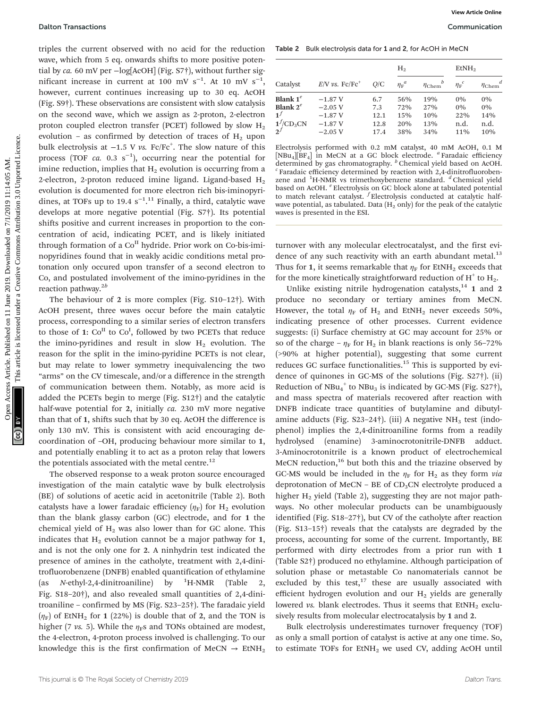triples the current observed with no acid for the reduction wave, which from 5 eq. onwards shifts to more positive potential by ca. 60 mV per −log[AcOH] (Fig. S7†), without further significant increase in current at 100 mV  $s^{-1}$ . At 10 mV  $s^{-1}$ , however, current continues increasing up to 30 eq. AcOH (Fig. S9†). These observations are consistent with slow catalysis on the second wave, which we assign as 2-proton, 2-electron proton coupled electron transfer (PCET) followed by slow  $H_2$ evolution – as confirmed by detection of traces of  $H_2$  upon bulk electrolysis at -1.5 V vs. Fc/Fc<sup>+</sup>. The slow nature of this process (TOF  $ca.$  0.3 s<sup>-1</sup>), occurring near the potential for imine reduction, implies that  $H_2$  evolution is occurring from a 2-electron, 2-proton reduced imine ligand. Ligand-based H<sub>2</sub> evolution is documented for more electron rich bis-iminopyridines, at TOFs up to 19.4  $s^{-1}$ .<sup>11</sup> Finally, a third, catalytic wave develops at more negative potential (Fig. S7†). Its potential shifts positive and current increases in proportion to the concentration of acid, indicating PCET, and is likely initiated through formation of a Co<sup>II</sup> hydride. Prior work on Co-bis-iminopyridines found that in weakly acidic conditions metal protonation only occured upon transfer of a second electron to Co, and postulated involvement of the imino-pyridines in the reaction pathway.<sup>2b</sup> **Detton Tanactions**<br>
We we will from 5 spin a spin and solid for the reduction Table 2 But enterwhy a data of solid kind from 5 spin and the matter of the small from 5 amelian term in the same of this article. The matter

The behaviour of 2 is more complex (Fig. S10–12†). With AcOH present, three waves occur before the main catalytic process, corresponding to a similar series of electron transfers to those of 1:  $Co<sup>H</sup>$  to  $Co<sup>I</sup>$ , followed by two PCETs that reduce the imino-pyridines and result in slow  $H_2$  evolution. The reason for the split in the imino-pyridine PCETs is not clear, but may relate to lower symmetry inequivalencing the two "arms" on the CV timescale, and/or a difference in the strength of communication between them. Notably, as more acid is added the PCETs begin to merge (Fig. S12†) and the catalytic half-wave potential for 2, initially ca. 230 mV more negative than that of 1, shifts such that by 30 eq. AcOH the difference is only 130 mV. This is consistent with acid encouraging decoordination of –OH, producing behaviour more similar to 1, and potentially enabling it to act as a proton relay that lowers the potentials associated with the metal centre.<sup>12</sup>

The observed response to a weak proton source encouraged investigation of the main catalytic wave by bulk electrolysis (BE) of solutions of acetic acid in acetonitrile (Table 2). Both catalysts have a lower faradaic efficiency  $(\eta_F)$  for H<sub>2</sub> evolution than the blank glassy carbon (GC) electrode, and for 1 the chemical yield of  $H_2$  was also lower than for GC alone. This indicates that  $H_2$  evolution cannot be a major pathway for 1, and is not the only one for 2. A ninhydrin test indicated the presence of amines in the catholyte, treatment with 2,4-dinitrofluorobenzene (DNFB) enabled quantification of ethylamine (as N-ethyl-2,4-dinitroaniline) by <sup>1</sup>  ${}^{1}$ H-NMR (Table 2, Fig. S18–20†), and also revealed small quantities of 2,4-dinitroaniline – confirmed by MS (Fig. S23–25†). The faradaic yield  $(\eta_F)$  of EtNH<sub>2</sub> for 1 (22%) is double that of 2, and the TON is higher (7 vs. 5). While the  $\eta$ <sub>F</sub>s and TONs obtained are modest, the 4-electron, 4-proton process involved is challenging. To our knowledge this is the first confirmation of MeCN  $\rightarrow$  EtNH<sub>2</sub>

Table 2 Bulk electrolysis data for 1 and 2, for AcOH in MeCN

|                                                                         |                                                          | O/C                                | H <sub>2</sub>                  |                                 | EtNH <sub>2</sub>              |                                      |
|-------------------------------------------------------------------------|----------------------------------------------------------|------------------------------------|---------------------------------|---------------------------------|--------------------------------|--------------------------------------|
| Catalyst                                                                | $E/V$ vs. $Fc/Fc^+$                                      |                                    | $\eta_{\rm F}^{\phantom{1}a}$   | $\eta_{\rm Chem}^{b}$           | $\eta_{\rm F}^{\ \ c}$         | d<br>$\eta_{\rm Chem}$               |
| Blank $1^e$<br>Blank $2^e$<br>$\mathbf{1}^f$<br>$1^{f}/CD_3CN$<br>$2^f$ | $-1.87V$<br>$-2.05V$<br>$-1.87V$<br>$-1.87V$<br>$-2.05V$ | 6.7<br>7.3<br>12.1<br>12.8<br>17.4 | 56%<br>72%<br>15%<br>20%<br>38% | 19%<br>27%<br>10%<br>13%<br>34% | 0%<br>0%<br>22%<br>n.d.<br>11% | $0\%$<br>$0\%$<br>14%<br>n.d.<br>10% |

Electrolysis performed with 0.2 mM catalyst, 40 mM AcOH, 0.1 M  $[NBu_4][BF_4]$  in MeCN at a GC block electrode. <sup>a</sup> Faradaic efficiency determined by gas chromatography.  $\overline{b}$  Chemical yield based on AcOH.  $\overline{c}$  Faradaic efficiency determined by reaction with 2,4-dinitrofluorobenzene and <sup>1</sup>H-NMR vs trimethoxybenzene standard. <sup>d</sup> Chemical yield based on AcOH. <sup>e</sup> Electrolysis on GC block alone at tabulated potential to match relevant catalyst. <sup>f</sup>Electrolysis conducted at catalytic halfwave potential, as tabulated. Data  $(H_2 \text{ only})$  for the peak of the catalytic waves is presented in the ESI.

turnover with any molecular electrocatalyst, and the first evidence of any such reactivity with an earth abundant metal. $^{13}$ Thus for 1, it seems remarkable that  $\eta_F$  for EtNH<sub>2</sub> exceeds that for the more kinetically straightforward reduction of  $H^+$  to  $H_2$ .

Unlike existing nitrile hydrogenation catalysts, $^{14}$  1 and 2 produce no secondary or tertiary amines from MeCN. However, the total  $\eta_F$  of H<sub>2</sub> and EtNH<sub>2</sub> never exceeds 50%, indicating presence of other processes. Current evidence suggests: (i) Surface chemistry at GC may account for 25% or so of the charge –  $\eta_F$  for H<sub>2</sub> in blank reactions is only 56–72% (>90% at higher potential), suggesting that some current reduces GC surface functionalities. $15$  This is supported by evidence of quinones in GC-MS of the solutions (Fig. S27†). (ii) Reduction of  $NBu_4^+$  to  $NBu_3$  is indicated by GC-MS (Fig. S27†), and mass spectra of materials recovered after reaction with DNFB indicate trace quantities of butylamine and dibutylamine adducts (Fig. S23-24†). (iii) A negative  $NH<sub>3</sub>$  test (indophenol) implies the 2,4-dinitroaniline forms from a readily hydrolysed (enamine) 3-aminocrotonitrile-DNFB adduct. 3-Aminocrotonitrile is a known product of electrochemical MeCN reduction, $16$  but both this and the triazine observed by GC-MS would be included in the  $\eta_F$  for H<sub>2</sub> as they form via deprotonation of MeCN – BE of  $CD_3CN$  electrolyte produced a higher  $H_2$  yield (Table 2), suggesting they are not major pathways. No other molecular products can be unambiguously identified (Fig. S18–27†), but CV of the catholyte after reaction (Fig. S13–15†) reveals that the catalysts are degraded by the process, accounting for some of the current. Importantly, BE performed with dirty electrodes from a prior run with 1 (Table S2†) produced no ethylamine. Although participation of solution phase or metastable Co nanomaterials cannot be excluded by this test, $17$  these are usually associated with efficient hydrogen evolution and our  $H<sub>2</sub>$  yields are generally lowered vs. blank electrodes. Thus it seems that  $EtNH<sub>2</sub>$  exclusively results from molecular electrocatalysis by 1 and 2.

Bulk electrolysis underestimates turnover frequency (TOF) as only a small portion of catalyst is active at any one time. So, to estimate TOFs for  $EtNH<sub>2</sub>$  we used CV, adding AcOH until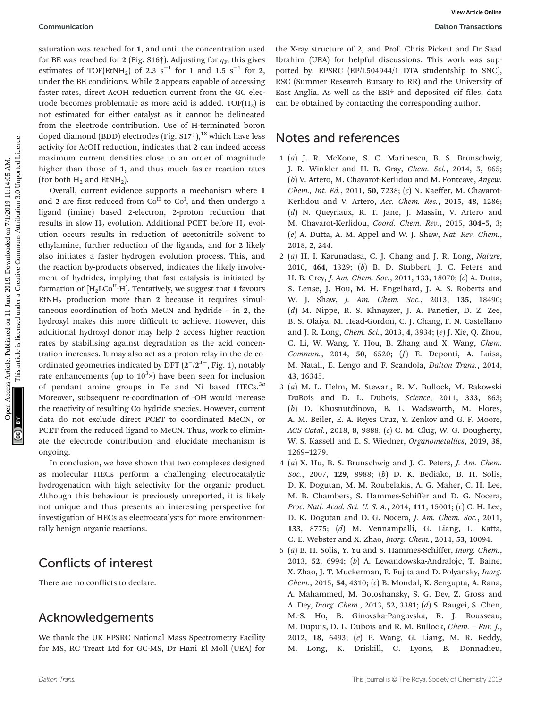saturation was reached for 1, and until the concentration used for BE was reached for 2 (Fig. S16†). Adjusting for  $\eta_F$ , this gives estimates of TOF(EtNH<sub>2</sub>) of 2.3 s<sup>-1</sup> for 1 and 1.5 s<sup>-1</sup> for 2, under the BE conditions. While 2 appears capable of accessing faster rates, direct AcOH reduction current from the GC electrode becomes problematic as more acid is added. TOF $(H<sub>2</sub>)$  is not estimated for either catalyst as it cannot be delineated from the electrode contribution. Use of H-terminated boron doped diamond (BDD) electrodes (Fig.  $S17\dagger$ ),<sup>18</sup> which have less activity for AcOH reduction, indicates that 2 can indeed access maximum current densities close to an order of magnitude higher than those of 1, and thus much faster reaction rates (for both  $H_2$  and EtN $H_2$ ).

Overall, current evidence supports a mechanism where 1 and 2 are first reduced from  $Co<sup>H</sup>$  to  $Co<sup>I</sup>$ , and then undergo a ligand (imine) based 2-electron, 2-proton reduction that results in slow  $H_2$  evolution. Additional PCET before  $H_2$  evolution occurs results in reduction of acetonitrile solvent to ethylamine, further reduction of the ligands, and for 2 likely also initiates a faster hydrogen evolution process. This, and the reaction by-products observed, indicates the likely involvement of hydrides, implying that fast catalysis is initiated by formation of  $[H<sub>2</sub> L Co<sup>II</sup>-H]$ . Tentatively, we suggest that 1 favours  $EtNH<sub>2</sub>$  production more than 2 because it requires simultaneous coordination of both MeCN and hydride – in 2, the hydroxyl makes this more difficult to achieve. However, this additional hydroxyl donor may help 2 access higher reaction rates by stabilising against degradation as the acid concentration increases. It may also act as a proton relay in the de-coordinated geometries indicated by DFT  $(2^-/2^{3^-})$ , Fig. 1), notably rate enhancements (up to  $10^{3}$  $\times$ ) have been seen for inclusion of pendant amine groups in Fe and Ni based HECs. $3a$ Moreover, subsequent re-coordination of -OH would increase the reactivity of resulting Co hydride species. However, current data do not exclude direct PCET to coordinated MeCN, or PCET from the reduced ligand to MeCN. Thus, work to eliminate the electrode contribution and elucidate mechanism is ongoing. Communication<br>
statution vas reached for 1, and unit the concentration used the Kreat Hyric (Fig. 16: A cell of the Section Create Macchines Article is the common action of the Section Create Macchines Article is likely a

In conclusion, we have shown that two complexes designed as molecular HECs perform a challenging electrocatalytic hydrogenation with high selectivity for the organic product. Although this behaviour is previously unreported, it is likely not unique and thus presents an interesting perspective for investigation of HECs as electrocatalysts for more environmentally benign organic reactions.

### Conflicts of interest

There are no conflicts to declare.

### Acknowledgements

We thank the UK EPSRC National Mass Spectrometry Facility for MS, RC Treatt Ltd for GC-MS, Dr Hani El Moll (UEA) for the X-ray structure of 2, and Prof. Chris Pickett and Dr Saad Ibrahim (UEA) for helpful discussions. This work was supported by: EPSRC (EP/L504944/1 DTA studentship to SNC), RSC (Summer Research Bursary to RR) and the University of East Anglia. As well as the ESI† and deposited cif files, data can be obtained by contacting the corresponding author.

#### Notes and references

- 1 (a) J. R. McKone, S. C. Marinescu, B. S. Brunschwig, J. R. Winkler and H. B. Gray, Chem. Sci., 2014, 5, 865; (b) V. Artero, M. Chavarot-Kerlidou and M. Fontcave, Angew. Chem., Int. Ed., 2011, 50, 7238; (c) N. Kaeffer, M. Chavarot-Kerlidou and V. Artero, Acc. Chem. Res., 2015, 48, 1286; (d) N. Queyriaux, R. T. Jane, J. Massin, V. Artero and M. Chavarot-Kerlidou, Coord. Chem. Rev., 2015, 304–5, 3; (e) A. Dutta, A. M. Appel and W. J. Shaw, Nat. Rev. Chem., 2018, 2, 244.
- 2 (a) H. I. Karunadasa, C. J. Chang and J. R. Long, Nature, 2010, 464, 1329; (b) B. D. Stubbert, J. C. Peters and H. B. Grey, J. Am. Chem. Soc., 2011, 133, 18070; (c) A. Dutta, S. Lense, J. Hou, M. H. Engelhard, J. A. S. Roberts and W. J. Shaw, *J. Am. Chem. Soc.*, 2013, 135, 18490; (d) M. Nippe, R. S. Khnayzer, J. A. Panetier, D. Z. Zee, B. S. Olaiya, M. Head-Gordon, C. J. Chang, F. N. Castellano and J. R. Long, Chem. Sci., 2013, 4, 3934; (e) J. Xie, Q. Zhou, C. Li, W. Wang, Y. Hou, B. Zhang and X. Wang, Chem. Commun., 2014, 50, 6520; (f) E. Deponti, A. Luisa, M. Natali, E. Lengo and F. Scandola, Dalton Trans., 2014, 43, 16345.
- 3 (a) M. L. Helm, M. Stewart, R. M. Bullock, M. Rakowski DuBois and D. L. Dubois, Science, 2011, 333, 863; (b) D. Khusnutdinova, B. L. Wadsworth, M. Flores, A. M. Beiler, E. A. Reyes Cruz, Y. Zenkov and G. F. Moore, ACS Catal., 2018, 8, 9888; (c) C. M. Clug, W. G. Dougherty, W. S. Kassell and E. S. Wiedner, Organometallics, 2019, 38, 1269–1279.
- 4 (a) X. Hu, B. S. Brunschwig and J. C. Peters, J. Am. Chem. Soc., 2007, 129, 8988; (b) D. K. Bediako, B. H. Solis, D. K. Dogutan, M. M. Roubelakis, A. G. Maher, C. H. Lee, M. B. Chambers, S. Hammes-Schiffer and D. G. Nocera, Proc. Natl. Acad. Sci. U. S. A., 2014, 111, 15001; (c) C. H. Lee, D. K. Dogutan and D. G. Nocera, J. Am. Chem. Soc., 2011, 133, 8775; (d) M. Vennampalli, G. Liang, L. Katta, C. E. Webster and X. Zhao, Inorg. Chem., 2014, 53, 10094.
- 5 (a) B. H. Solis, Y. Yu and S. Hammes-Schiffer, Inorg. Chem., 2013, 52, 6994; (b) A. Lewandowska-Andralojc, T. Baine, X. Zhao, J. T. Muckerman, E. Fujita and D. Polyansky, Inorg. Chem., 2015, 54, 4310; (c) B. Mondal, K. Sengupta, A. Rana, A. Mahammed, M. Botoshansky, S. G. Dey, Z. Gross and A. Dey, Inorg. Chem., 2013, 52, 3381; (d) S. Raugei, S. Chen, M.-S. Ho, B. Ginovska-Pangovska, R. J. Rousseau, M. Dupuis, D. L. Dubois and R. M. Bullock, Chem. – Eur. J., 2012, 18, 6493; (e) P. Wang, G. Liang, M. R. Reddy, M. Long, K. Driskill, C. Lyons, B. Donnadieu,